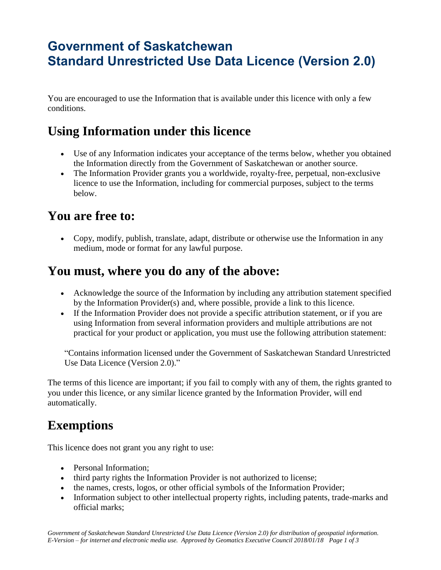# **Government of Saskatchewan Standard Unrestricted Use Data Licence (Version 2.0)**

You are encouraged to use the Information that is available under this licence with only a few conditions.

## **Using Information under this licence**

- Use of any Information indicates your acceptance of the terms below, whether you obtained the Information directly from the Government of Saskatchewan or another source.
- The Information Provider grants you a worldwide, royalty-free, perpetual, non-exclusive licence to use the Information, including for commercial purposes, subject to the terms below.

### **You are free to:**

 Copy, modify, publish, translate, adapt, distribute or otherwise use the Information in any medium, mode or format for any lawful purpose.

#### **You must, where you do any of the above:**

- Acknowledge the source of the Information by including any attribution statement specified by the Information Provider(s) and, where possible, provide a link to this licence.
- If the Information Provider does not provide a specific attribution statement, or if you are using Information from several information providers and multiple attributions are not practical for your product or application, you must use the following attribution statement:

"Contains information licensed under the Government of Saskatchewan Standard Unrestricted Use Data Licence (Version 2.0)."

The terms of this licence are important; if you fail to comply with any of them, the rights granted to you under this licence, or any similar licence granted by the Information Provider, will end automatically.

### **Exemptions**

This licence does not grant you any right to use:

- Personal Information;
- third party rights the Information Provider is not authorized to license;
- the names, crests, logos, or other official symbols of the Information Provider;
- Information subject to other intellectual property rights, including patents, trade-marks and official marks;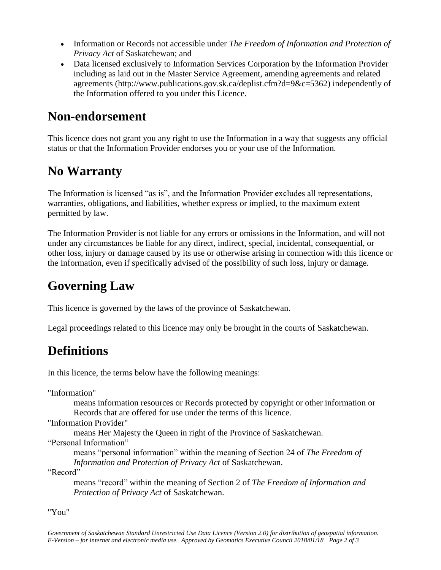- Information or Records not accessible under *The Freedom of Information and Protection of Privacy Act* of Saskatchewan; and
- Data licensed exclusively to Information Services Corporation by the Information Provider including as laid out in the Master Service Agreement, amending agreements and related agreements (http://www.publications.gov.sk.ca/deplist.cfm?d=9&c=5362) independently of the Information offered to you under this Licence.

### **Non-endorsement**

This licence does not grant you any right to use the Information in a way that suggests any official status or that the Information Provider endorses you or your use of the Information.

### **No Warranty**

The Information is licensed "as is", and the Information Provider excludes all representations, warranties, obligations, and liabilities, whether express or implied, to the maximum extent permitted by law.

The Information Provider is not liable for any errors or omissions in the Information, and will not under any circumstances be liable for any direct, indirect, special, incidental, consequential, or other loss, injury or damage caused by its use or otherwise arising in connection with this licence or the Information, even if specifically advised of the possibility of such loss, injury or damage.

# **Governing Law**

This licence is governed by the laws of the province of Saskatchewan.

Legal proceedings related to this licence may only be brought in the courts of Saskatchewan.

## **Definitions**

In this licence, the terms below have the following meanings:

"Information"

means information resources or Records protected by copyright or other information or Records that are offered for use under the terms of this licence.

"Information Provider"

means Her Majesty the Queen in right of the Province of Saskatchewan.

"Personal Information"

means "personal information" within the meaning of Section 24 of *The Freedom of Information and Protection of Privacy Act* of Saskatchewan.

"Record"

means "record" within the meaning of Section 2 of *The Freedom of Information and Protection of Privacy Act* of Saskatchewan.

"You"